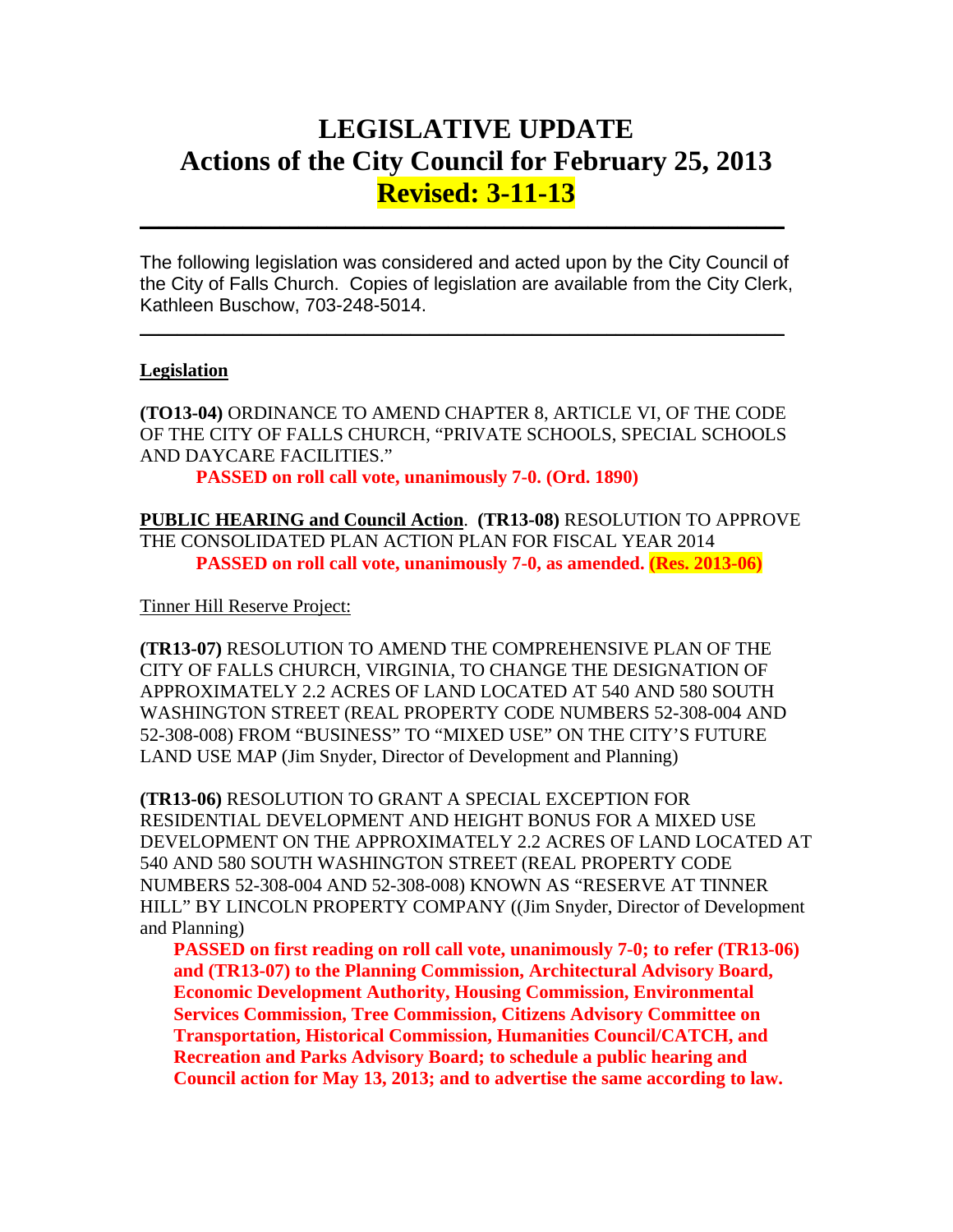# **LEGISLATIVE UPDATE Actions of the City Council for February 25, 2013 Revised: 3-11-13**

The following legislation was considered and acted upon by the City Council of the City of Falls Church. Copies of legislation are available from the City Clerk, Kathleen Buschow, 703-248-5014.

 $\_$ 

 $\mathcal{L}_\text{max} = \mathcal{L}_\text{max} = \mathcal{L}_\text{max} = \mathcal{L}_\text{max} = \mathcal{L}_\text{max} = \mathcal{L}_\text{max} = \mathcal{L}_\text{max} = \mathcal{L}_\text{max} = \mathcal{L}_\text{max} = \mathcal{L}_\text{max} = \mathcal{L}_\text{max} = \mathcal{L}_\text{max} = \mathcal{L}_\text{max} = \mathcal{L}_\text{max} = \mathcal{L}_\text{max} = \mathcal{L}_\text{max} = \mathcal{L}_\text{max} = \mathcal{L}_\text{max} = \mathcal{$ 

#### **Legislation**

**(TO13-04)** ORDINANCE TO AMEND CHAPTER 8, ARTICLE VI, OF THE CODE OF THE CITY OF FALLS CHURCH, "PRIVATE SCHOOLS, SPECIAL SCHOOLS AND DAYCARE FACILITIES."

**PASSED on roll call vote, unanimously 7-0. (Ord. 1890)** 

**PUBLIC HEARING and Council Action**. **(TR13-08)** RESOLUTION TO APPROVE THE CONSOLIDATED PLAN ACTION PLAN FOR FISCAL YEAR 2014 **PASSED on roll call vote, unanimously 7-0, as amended. (Res. 2013-06)**

Tinner Hill Reserve Project:

**(TR13-07)** RESOLUTION TO AMEND THE COMPREHENSIVE PLAN OF THE CITY OF FALLS CHURCH, VIRGINIA, TO CHANGE THE DESIGNATION OF APPROXIMATELY 2.2 ACRES OF LAND LOCATED AT 540 AND 580 SOUTH WASHINGTON STREET (REAL PROPERTY CODE NUMBERS 52-308-004 AND 52-308-008) FROM "BUSINESS" TO "MIXED USE" ON THE CITY'S FUTURE LAND USE MAP (Jim Snyder, Director of Development and Planning)

**(TR13-06)** RESOLUTION TO GRANT A SPECIAL EXCEPTION FOR RESIDENTIAL DEVELOPMENT AND HEIGHT BONUS FOR A MIXED USE DEVELOPMENT ON THE APPROXIMATELY 2.2 ACRES OF LAND LOCATED AT 540 AND 580 SOUTH WASHINGTON STREET (REAL PROPERTY CODE NUMBERS 52-308-004 AND 52-308-008) KNOWN AS "RESERVE AT TINNER HILL" BY LINCOLN PROPERTY COMPANY ((Jim Snyder, Director of Development and Planning)

**PASSED on first reading on roll call vote, unanimously 7-0; to refer (TR13-06) and (TR13-07) to the Planning Commission, Architectural Advisory Board, Economic Development Authority, Housing Commission, Environmental Services Commission, Tree Commission, Citizens Advisory Committee on Transportation, Historical Commission, Humanities Council/CATCH, and Recreation and Parks Advisory Board; to schedule a public hearing and Council action for May 13, 2013; and to advertise the same according to law.**